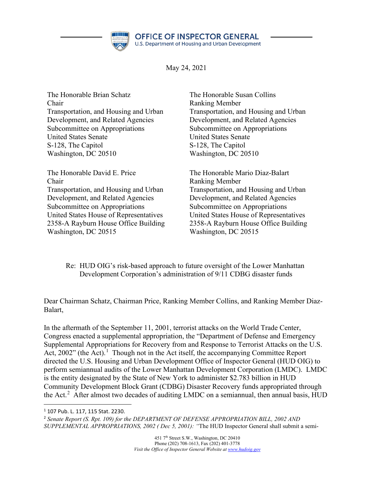

May 24, 2021

| The Honorable Brian Schatz             | The Honorable Susan Collins            |
|----------------------------------------|----------------------------------------|
| Chair                                  | <b>Ranking Member</b>                  |
| Transportation, and Housing and Urban  | Transportation, and Housing and Urban  |
| Development, and Related Agencies      | Development, and Related Agencies      |
| Subcommittee on Appropriations         | Subcommittee on Appropriations         |
| <b>United States Senate</b>            | <b>United States Senate</b>            |
| S-128, The Capitol                     | S-128, The Capitol                     |
| Washington, DC 20510                   | Washington, DC 20510                   |
| The Honorable David E. Price           | The Honorable Mario Diaz-Balart        |
| Chair                                  | <b>Ranking Member</b>                  |
| Transportation, and Housing and Urban  | Transportation, and Housing and Urban  |
| Development, and Related Agencies      | Development, and Related Agencies      |
| Subcommittee on Appropriations         | Subcommittee on Appropriations         |
| United States House of Representatives | United States House of Representatives |
| 2358-A Rayburn House Office Building   | 2358-A Rayburn House Office Building   |
| Washington, DC 20515                   | Washington, DC 20515                   |

Re: HUD OIG's risk-based approach to future oversight of the Lower Manhattan Development Corporation's administration of 9/11 CDBG disaster funds

Dear Chairman Schatz, Chairman Price, Ranking Member Collins, and Ranking Member Diaz-Balart,

In the aftermath of the September 11, 2001, terrorist attacks on the World Trade Center, Congress enacted a supplemental appropriation, the "Department of Defense and Emergency Supplemental Appropriations for Recovery from and Response to Terrorist Attacks on the U.S. Act,  $2002$ " (the Act).<sup>[1](#page-0-0)</sup> Though not in the Act itself, the accompanying Committee Report directed the U.S. Housing and Urban Development Office of Inspector General (HUD OIG) to perform semiannual audits of the Lower Manhattan Development Corporation (LMDC). LMDC is the entity designated by the State of New York to administer \$2.783 billion in HUD Community Development Block Grant (CDBG) Disaster Recovery funds appropriated through the Act.<sup>[2](#page-0-1)</sup> After almost two decades of auditing LMDC on a semiannual, then annual basis, HUD

<span id="page-0-0"></span><sup>1</sup> 107 Pub. L. 117, 115 Stat. 2230.

<span id="page-0-1"></span><sup>2</sup> *Senate Report (S. Rpt. 109) for the DEPARTMENT OF DEFENSE APPROPRIATION BILL, 2002 AND SUPPLEMENTAL APPROPRIATIONS, 2002 ( Dec 5, 2001): "*The HUD Inspector General shall submit a semi-